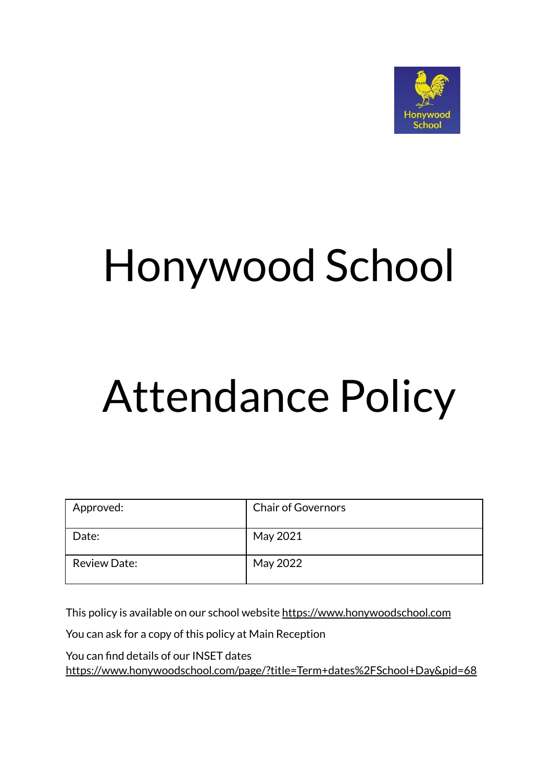

## Honywood School

# Attendance Policy

| Approved:           | <b>Chair of Governors</b> |
|---------------------|---------------------------|
| Date:               | May 2021                  |
| <b>Review Date:</b> | May 2022                  |

This policy is available on our school website <https://www.honywoodschool.com>

You can ask for a copy of this policy at Main Reception

You can find details of our INSET dates <https://www.honywoodschool.com/page/?title=Term+dates%2FSchool+Day&pid=68>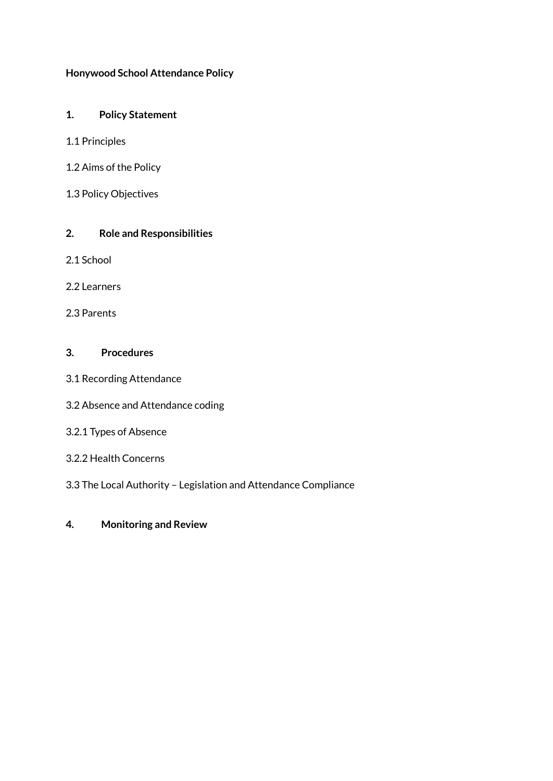#### **Honywood School Attendance Policy**

#### **1. Policy Statement**

- 1.1 Principles
- 1.2 Aims of the Policy
- 1.3 Policy Objectives

#### **2. Role and Responsibilities**

- 2.1 School
- 2.2 Learners
- 2.3 Parents

#### **3. Procedures**

- 3.1 Recording Attendance
- 3.2 Absence and Attendance coding

#### 3.2.1 Types of Absence

- 3.2.2 Health Concerns
- 3.3 The Local Authority Legislation and Attendance Compliance
- **4. Monitoring and Review**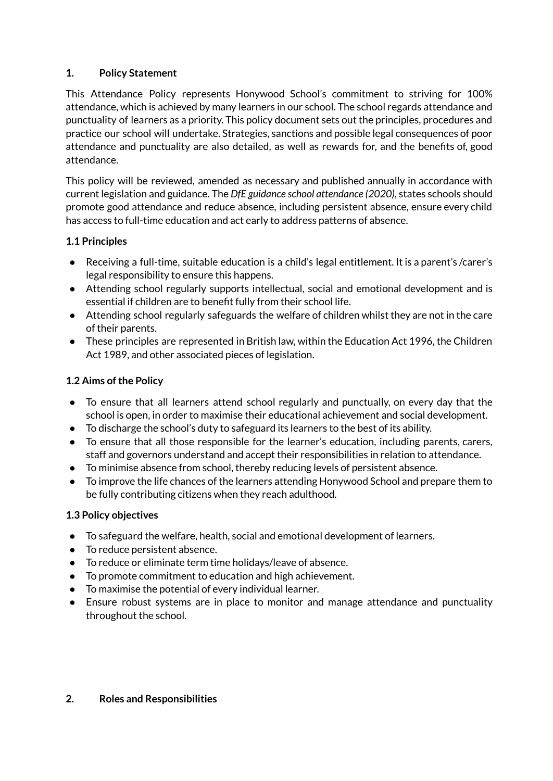## **1. Policy Statement**

This Attendance Policy represents Honywood School's commitment to striving for 100% attendance, which is achieved by many learners in our school. The school regards attendance and punctuality of learners as a priority. This policy document sets out the principles, procedures and practice our school will undertake. Strategies, sanctions and possible legal consequences of poor attendance and punctuality are also detailed, as well as rewards for, and the benefits of, good attendance.

This policy will be reviewed, amended as necessary and published annually in accordance with current legislation and guidance. The *DfE guidance school attendance (2020)*, states schools should promote good attendance and reduce absence, including persistent absence, ensure every child has access to full-time education and act early to address patterns of absence.

## **1.1 Principles**

- Receiving a full-time, suitable education is a child's legal entitlement. It is a parent's /carer's legal responsibility to ensure this happens.
- Attending school regularly supports intellectual, social and emotional development and is essential if children are to benefit fully from their school life.
- Attending school regularly safeguards the welfare of children whilst they are not in the care of their parents.
- These principles are represented in British law, within the Education Act 1996, the Children Act 1989, and other associated pieces of legislation.

## **1.2 Aims of the Policy**

- To ensure that all learners attend school regularly and punctually, on every day that the school is open, in order to maximise their educational achievement and social development.
- To discharge the school's duty to safeguard its learners to the best of its ability.
- To ensure that all those responsible for the learner's education, including parents, carers, staff and governors understand and accept their responsibilities in relation to attendance.
- To minimise absence from school, thereby reducing levels of persistent absence.
- To improve the life chances of the learners attending Honywood School and prepare them to be fully contributing citizens when they reach adulthood.

### **1.3 Policy objectives**

- To safeguard the welfare, health, social and emotional development of learners.
- To reduce persistent absence.
- To reduce or eliminate term time holidays/leave of absence.
- To promote commitment to education and high achievement.
- To maximise the potential of every individual learner.
- Ensure robust systems are in place to monitor and manage attendance and punctuality throughout the school.

### **2. Roles and Responsibilities**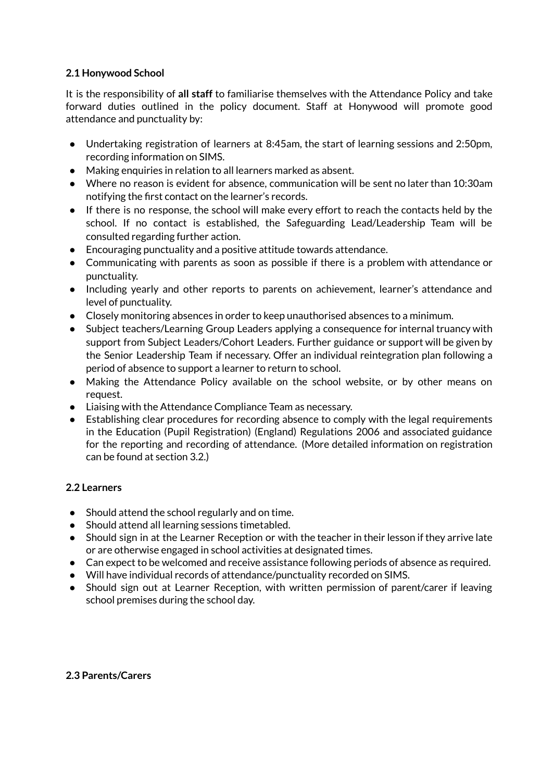#### **2.1 Honywood School**

It is the responsibility of **all staff** to familiarise themselves with the Attendance Policy and take forward duties outlined in the policy document. Staff at Honywood will promote good attendance and punctuality by:

- Undertaking registration of learners at 8:45am, the start of learning sessions and 2:50pm, recording information on SIMS.
- Making enquiries in relation to all learners marked as absent.
- Where no reason is evident for absence, communication will be sent no later than 10:30am notifying the first contact on the learner's records.
- If there is no response, the school will make every effort to reach the contacts held by the school. If no contact is established, the Safeguarding Lead/Leadership Team will be consulted regarding further action.
- Encouraging punctuality and a positive attitude towards attendance.
- Communicating with parents as soon as possible if there is a problem with attendance or punctuality.
- Including yearly and other reports to parents on achievement, learner's attendance and level of punctuality.
- Closely monitoring absences in order to keep unauthorised absences to a minimum.
- Subject teachers/Learning Group Leaders applying a consequence for internal truancy with support from Subject Leaders/Cohort Leaders. Further guidance or support will be given by the Senior Leadership Team if necessary. Offer an individual reintegration plan following a period of absence to support a learner to return to school.
- Making the Attendance Policy available on the school website, or by other means on request.
- Liaising with the Attendance Compliance Team as necessary.
- Establishing clear procedures for recording absence to comply with the legal requirements in the Education (Pupil Registration) (England) Regulations 2006 and associated guidance for the reporting and recording of attendance. (More detailed information on registration can be found at section 3.2.)

### **2.2 Learners**

- Should attend the school regularly and on time.
- Should attend all learning sessions timetabled.
- Should sign in at the Learner Reception or with the teacher in their lesson if they arrive late or are otherwise engaged in school activities at designated times.
- Can expect to be welcomed and receive assistance following periods of absence as required.
- Will have individual records of attendance/punctuality recorded on SIMS.
- Should sign out at Learner Reception, with written permission of parent/carer if leaving school premises during the school day.

#### **2.3 Parents/Carers**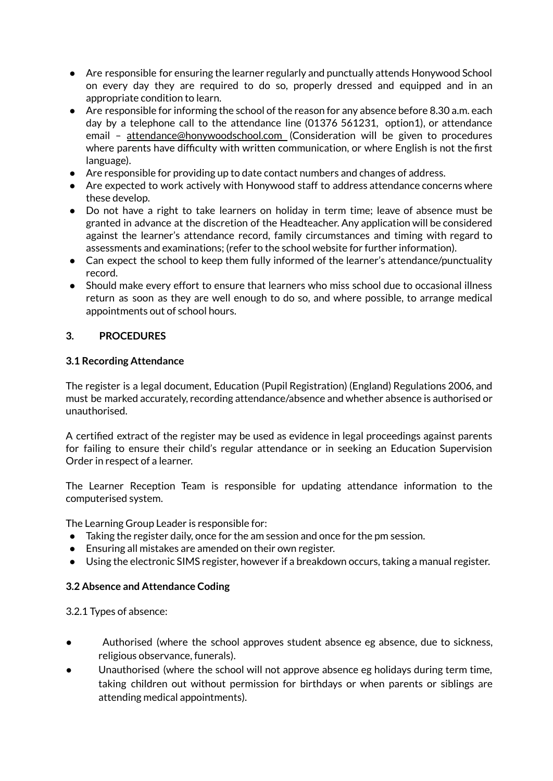- Are responsible for ensuring the learner regularly and punctually attends Honywood School on every day they are required to do so, properly dressed and equipped and in an appropriate condition to learn.
- Are responsible for informing the school of the reason for any absence before 8.30 a.m. each day by a telephone call to the attendance line (01376 561231, option1), or attendance email - [attendance@honywoodschool.com](mailto:attendance@honywoodschool.com) (Consideration will be given to procedures where parents have difficulty with written communication, or where English is not the first language).
- Are responsible for providing up to date contact numbers and changes of address.
- Are expected to work actively with Honywood staff to address attendance concerns where these develop.
- Do not have a right to take learners on holiday in term time; leave of absence must be granted in advance at the discretion of the Headteacher. Any application will be considered against the learner's attendance record, family circumstances and timing with regard to assessments and examinations; (refer to the school website for further information).
- Can expect the school to keep them fully informed of the learner's attendance/punctuality record.
- Should make every effort to ensure that learners who miss school due to occasional illness return as soon as they are well enough to do so, and where possible, to arrange medical appointments out of school hours.

### **3. PROCEDURES**

### **3.1 Recording Attendance**

The register is a legal document, Education (Pupil Registration) (England) Regulations 2006, and must be marked accurately, recording attendance/absence and whether absence is authorised or unauthorised.

A certified extract of the register may be used as evidence in legal proceedings against parents for failing to ensure their child's regular attendance or in seeking an Education Supervision Order in respect of a learner.

The Learner Reception Team is responsible for updating attendance information to the computerised system.

The Learning Group Leader is responsible for:

- Taking the register daily, once for the am session and once for the pm session.
- Ensuring all mistakes are amended on their own register.
- Using the electronic SIMS register, however if a breakdown occurs, taking a manual register.

### **3.2 Absence and Attendance Coding**

3.2.1 Types of absence:

- Authorised (where the school approves student absence eg absence, due to sickness, religious observance, funerals).
- Unauthorised (where the school will not approve absence eg holidays during term time, taking children out without permission for birthdays or when parents or siblings are attending medical appointments).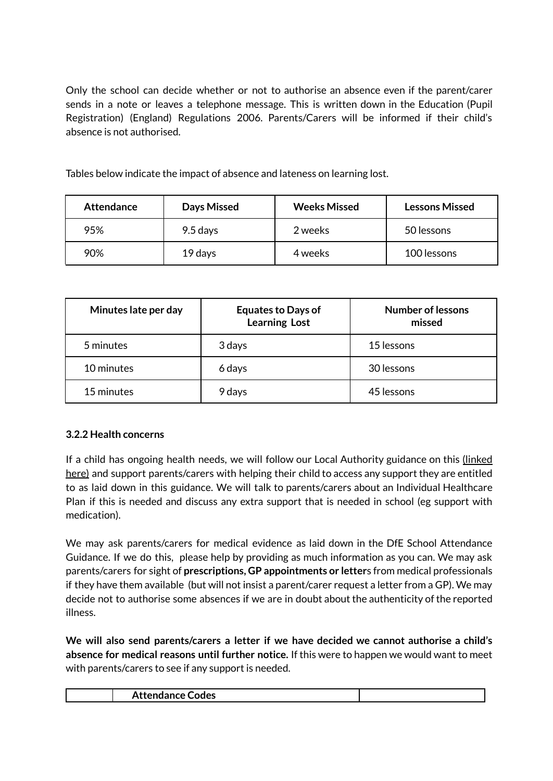Only the school can decide whether or not to authorise an absence even if the parent/carer sends in a note or leaves a telephone message. This is written down in the Education (Pupil Registration) (England) Regulations 2006. Parents/Carers will be informed if their child's absence is not authorised.

Tables below indicate the impact of absence and lateness on learning lost.

| <b>Attendance</b> | Days Missed | <b>Weeks Missed</b> | <b>Lessons Missed</b> |
|-------------------|-------------|---------------------|-----------------------|
| 95%               | 9.5 days    | 2 weeks             | 50 lessons            |
| 90%               | 19 days     | 4 weeks             | 100 lessons           |

| Minutes late per day | <b>Equates to Days of</b><br><b>Learning Lost</b> | <b>Number of lessons</b><br>missed |
|----------------------|---------------------------------------------------|------------------------------------|
| 5 minutes            | 3 days                                            | 15 lessons                         |
| 10 minutes           | 6 days                                            | 30 lessons                         |
| 15 minutes           | 9 days                                            | 45 lessons                         |

## **3.2.2 Health concerns**

If a child has ongoing health needs, we will follow our Local Authority guidance on this [\(linked](https://www.essex.gov.uk/school-attendance-and-absence) [here\)](https://www.essex.gov.uk/school-attendance-and-absence) and support parents/carers with helping their child to access any support they are entitled to as laid down in this guidance. We will talk to parents/carers about an Individual Healthcare Plan if this is needed and discuss any extra support that is needed in school (eg support with medication).

We may ask parents/carers for medical evidence as laid down in the DfE School Attendance Guidance. If we do this, please help by providing as much information as you can. We may ask parents/carers for sight of **prescriptions, GP appointments or letter**s from medical professionals if they have them available (but will not insist a parent/carer request a letter from a GP). We may decide not to authorise some absences if we are in doubt about the authenticity of the reported illness.

**We will also send parents/carers a letter if we have decided we cannot authorise a child's absence for medical reasons until further notice.** If this were to happen we would want to meet with parents/carers to see if any support is needed.

| Codes |
|-------|
|-------|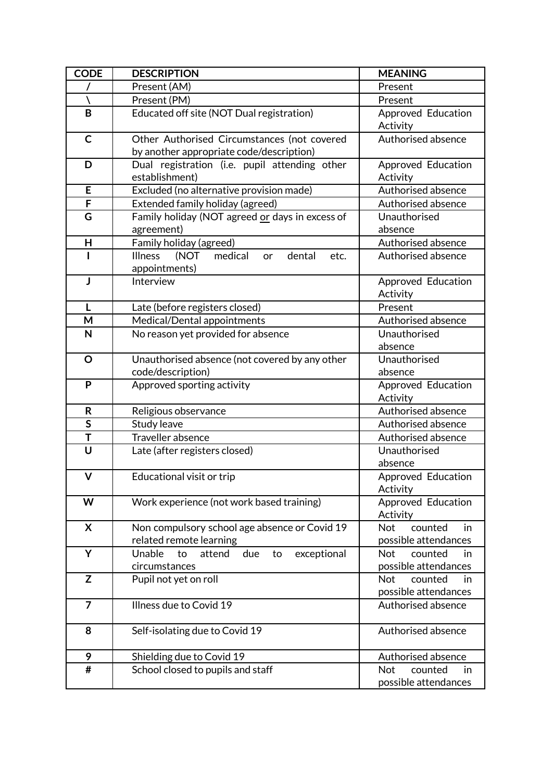| <b>CODE</b>    | <b>DESCRIPTION</b>                                                         | <b>MEANING</b>                 |
|----------------|----------------------------------------------------------------------------|--------------------------------|
|                | Present (AM)                                                               | Present                        |
|                | Present (PM)                                                               | Present                        |
| B              | Educated off site (NOT Dual registration)                                  | Approved Education<br>Activity |
| $\mathsf{C}$   | Other Authorised Circumstances (not covered                                | Authorised absence             |
|                | by another appropriate code/description)                                   |                                |
| D              | Dual registration (i.e. pupil attending other                              | Approved Education             |
|                | establishment)                                                             | Activity                       |
| E              | Excluded (no alternative provision made)                                   | Authorised absence             |
| F              | Extended family holiday (agreed)                                           | Authorised absence             |
| G              | Family holiday (NOT agreed or days in excess of                            | Unauthorised                   |
|                | agreement)                                                                 | absence                        |
| H              | Family holiday (agreed)                                                    | Authorised absence             |
|                | (NOT<br>medical<br><b>Illness</b><br>dental<br>etc.<br>or<br>appointments) | Authorised absence             |
| J              | Interview                                                                  | Approved Education             |
|                |                                                                            | Activity                       |
| L              | Late (before registers closed)                                             | Present                        |
| M              | Medical/Dental appointments                                                | Authorised absence             |
| N              | No reason yet provided for absence                                         | Unauthorised<br>absence        |
| $\mathbf O$    | Unauthorised absence (not covered by any other                             | Unauthorised                   |
|                | code/description)                                                          | absence                        |
| P              | Approved sporting activity                                                 | Approved Education<br>Activity |
| R              | Religious observance                                                       | Authorised absence             |
| $\mathsf{s}$   | Study leave                                                                | Authorised absence             |
| T              | Traveller absence                                                          | Authorised absence             |
| U              | Late (after registers closed)                                              | Unauthorised                   |
|                |                                                                            | absence                        |
| $\mathsf{V}$   | Educational visit or trip                                                  | Approved Education             |
| W              |                                                                            | Activity                       |
|                | Work experience (not work based training)                                  | Approved Education<br>Activity |
| X              | Non compulsory school age absence or Covid 19                              | <b>Not</b><br>counted<br>in    |
|                | related remote learning                                                    | possible attendances           |
| Υ              | Unable<br>due<br>exceptional<br>attend<br>to<br>to                         | counted<br><b>Not</b><br>in    |
|                | circumstances                                                              | possible attendances           |
| $\mathsf{Z}$   | Pupil not yet on roll                                                      | <b>Not</b><br>counted<br>in    |
|                |                                                                            | possible attendances           |
| $\overline{7}$ | Illness due to Covid 19                                                    | Authorised absence             |
| 8              | Self-isolating due to Covid 19                                             | Authorised absence             |
| 9              | Shielding due to Covid 19                                                  | Authorised absence             |
| #              | School closed to pupils and staff                                          | <b>Not</b><br>counted<br>in.   |
|                |                                                                            | possible attendances           |